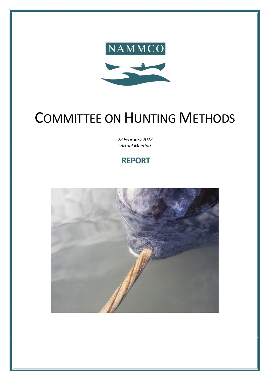

# COMMITTEE ON HUNTING METHODS

*22 February 2022 Virtual Meeting*

**REPORT**

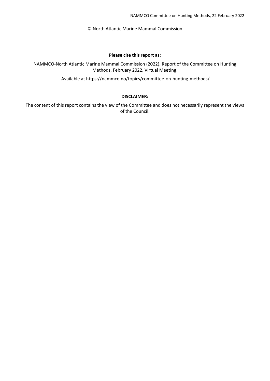© North Atlantic Marine Mammal Commission

#### **Please cite this report as:**

NAMMCO-North Atlantic Marine Mammal Commission (2022). Report of the Committee on Hunting Methods, February 2022, Virtual Meeting.

Available at https://nammco.no/topics/committee-on-hunting-methods/

#### **DISCLAIMER:**

The content of this report contains the view of the Committee and does not necessarily represent the views of the Council.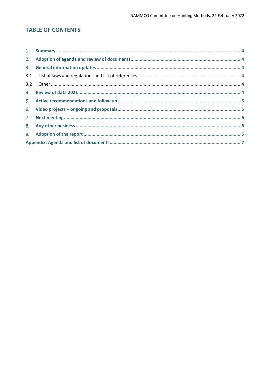# **TABLE OF CONTENTS**

| 3.1 |  |  |
|-----|--|--|
|     |  |  |
|     |  |  |
|     |  |  |
|     |  |  |
|     |  |  |
|     |  |  |
|     |  |  |
|     |  |  |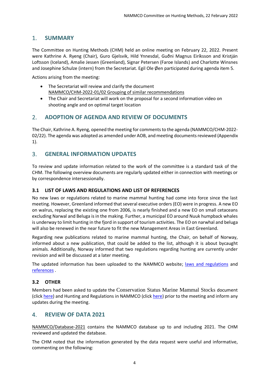# <span id="page-3-0"></span>1. **SUMMARY**

The Committee on Hunting Methods (CHM) held an online meeting on February 22, 2022. Present were Kathrine A. Ryeng (Chair), Guro Gjelsvik, Hild Ynnesdal, Guðni Magnus Eiríksson and Kristján Loftsson (Iceland), Amalie Jessen (Greenland), Signar Petersen (Faroe Islands) and Charlotte Winsnes and Josephine Schulze (intern) from the Secretariat. Egil Ole Øen participated during agenda item 5.

Actions arising from the meeting:

- The Secretariat will review and clarify the document NAMMCO/CHM-2022-01/02 Grouping of similar recommendations
- The Chair and Secretariat will work on the proposal for a second information video on shooting angle and on optimal target location

#### <span id="page-3-1"></span>2. **ADOPTION OF AGENDA AND REVIEW OF DOCUMENTS**

The Chair, Kathrine A. Ryeng, opened the meeting for comments to the agenda (NAMMCO/CHM-2022-02/22). The agenda was adopted as amended under AOB, and meeting documents reviewed (Appendix 1).

## <span id="page-3-2"></span>3. **GENERAL INFORMATION UPDATES**

To review and update information related to the work of the committee is a standard task of the CHM. The following overview documents are regularly updated either in connection with meetings or by correspondence intersessionally.

#### <span id="page-3-3"></span>**3.1 LIST OF LAWS AND REGULATIONS AND LIST OF REFERENCES**

No new laws or regulations related to marine mammal hunting had come into force since the last meeting. However, Greenland informed that several executive orders (EO) were in progress. A new EO on walrus, replacing the existing one from 2006, is nearly finished and a new EO on small cetaceans excluding Narwal and Beluga is in the making. Further, a municipal EO around Nuuk humpback whales is underway to limit hunting in the fjord in support of tourism activities. The EO on narwhal and beluga will also be renewed in the near future to fit the new Management Areas in East Greenland.

Regarding new publications related to marine mammal hunting, the Chair, on behalf of Norway, informed about a new publication, that could be added to the list, although it is about bycaught animals. Additionally, Norway informed that two regulations regarding hunting are currently under revision and will be discussed at a later meeting.

The updated information has been uploaded to the NAMMCO website; [laws and regulations](https://nammco.no/topics/laws-and-regulations/) and [references](https://nammco.no/wp-content/uploads/2022/02/web_24022022_list-of-references.pdf) .

#### <span id="page-3-4"></span>**3.2 OTHER**

Members had been asked to update the Conservation Status Marine Mammal Stocks document (click [here\)](https://nammco.no/wp-content/uploads/2017/08/description-hunitng-methods-and-regulations-25102021.pdf) and Hunting and Regulations in NAMMCO (click here) prior to the meeting and inform any updates during the meeting.

#### <span id="page-3-5"></span>4. **REVIEW OF DATA 2021**

NAMMCO/Database-2021 contains the NAMMCO database up to and including 2021. The CHM reviewed and updated the database.

The CHM noted that the information generated by the data request were useful and informative, commenting on the following: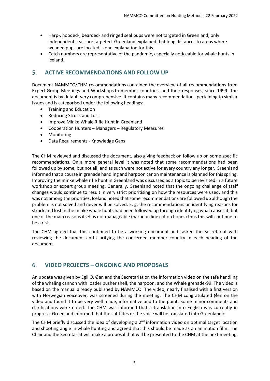- Harp-, hooded-, bearded- and ringed seal pups were not targeted in Greenland, only independent seals are targeted. Greenland explained that long distances to areas where weaned pups are located is one explanation for this.
- Catch numbers are representative of the pandemic, especially noticeable for whale hunts in Iceland.

### <span id="page-4-0"></span>5. **ACTIVE RECOMMENDATIONS AND FOLLOW UP**

Document NAMMCO/CHM-recommendations contained the overview of all recommendations from Expert Group Meetings and Workshops to member countries, and their responses, since 1999. The document is by default very comprehensive. It contains many recommendations pertaining to similar issues and is categorised under the following headings:

- Training and Education
- Reducing Struck and Lost
- Improve Minke Whale Rifle Hunt in Greenland
- Cooperation Hunters Managers Regulatory Measures
- Monitoring
- Data Requirements Knowledge Gaps

The CHM reviewed and discussed the document, also giving feedback on follow up on some specific recommendations. On a more general level it was noted that some recommendations had been followed up by some, but not all, and as such were not active for every country any longer. Greenland informed that a course in grenade handling and harpoon canon maintenance is planned for this spring. Improving the minke whale rifle hunt in Greenland was discussed as a topic to be revisited in a future workshop or expert group meeting. Generally, Greenland noted that the ongoing challenge of staff changes would continue to result in very strict prioritising on how the resources were used, and this was not among the priorities. Iceland noted that some recommendations are followed up although the problem is not solved and never will be solved. E. g. the recommendations on identifying reasons for struck and lost in the minke whale hunts had been followed up through identifying what causes it, but one of the main reasons itself is not manageable (harpoon line cut on bones) thus this will continue to be a risk.

The CHM agreed that this continued to be a working document and tasked the Secretariat with reviewing the document and clarifying the concerned member country in each heading of the document.

## <span id="page-4-1"></span>6. **VIDEO PROJECTS – ONGOING AND PROPOSALS**

An update was given by Egil O. Øen and the Secretariat on the information video on the safe handling of the whaling cannon with loader pusher shell, the harpoon, and the Whale grenade-99. The video is based on the manual already published by NAMMCO. The video, nearly finalised with a first version with Norwegian voiceover, was screened during the meeting. The CHM congratulated Øen on the video and found it to be very well made, informative and to the point. Some minor comments and clarifications were noted. The CHM was informed that a translation into English was currently in progress. Greenland informed that the subtitles or the voice will be translated into Greenlandic.

The CHM briefly discussed the idea of developing a  $2^{nd}$  information video on optimal target location and shooting angle in whale hunting and agreed that this should be made as an animation film. The Chair and the Secretariat will make a proposal that will be presented to the CHM at the next meeting.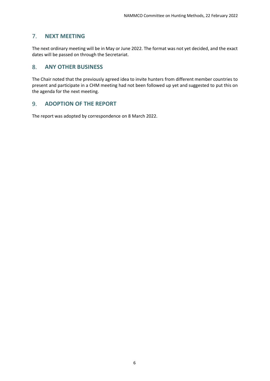# <span id="page-5-0"></span>7. **NEXT MEETING**

The next ordinary meeting will be in May or June 2022. The format was not yet decided, and the exact dates will be passed on through the Secretariat.

### <span id="page-5-1"></span>8. **ANY OTHER BUSINESS**

The Chair noted that the previously agreed idea to invite hunters from different member countries to present and participate in a CHM meeting had not been followed up yet and suggested to put this on the agenda for the next meeting.

#### <span id="page-5-2"></span>9. **ADOPTION OF THE REPORT**

The report was adopted by correspondence on 8 March 2022.